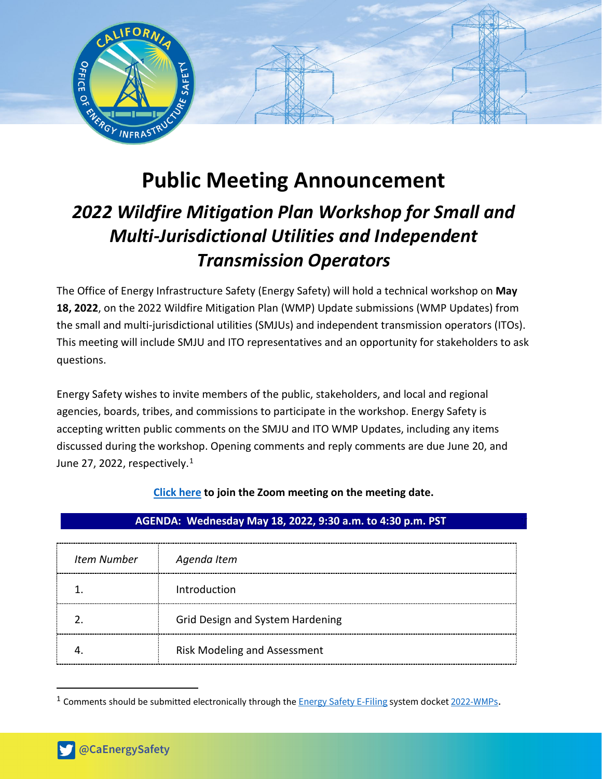

# **Public Meeting Announcement**

# *2022 Wildfire Mitigation Plan Workshop for Small and Multi-Jurisdictional Utilities and Independent Transmission Operators*

The Office of Energy Infrastructure Safety (Energy Safety) will hold a technical workshop on **May 18, 2022**, on the 2022 Wildfire Mitigation Plan (WMP) Update submissions (WMP Updates) from the small and multi-jurisdictional utilities (SMJUs) and independent transmission operators (ITOs). This meeting will include SMJU and ITO representatives and an opportunity for stakeholders to ask questions.

Energy Safety wishes to invite members of the public, stakeholders, and local and regional agencies, boards, tribes, and commissions to participate in the workshop. Energy Safety is accepting written public comments on the SMJU and ITO WMP Updates, including any items discussed during the workshop. Opening comments and reply comments are due June 20, and June 27, 2022, respectively. $^1$  $^1$ 

## **[Click here](https://ca-water-gov.zoom.us/j/88903910777) to join the Zoom meeting on the meeting date.**

### **AGENDA: Wednesday May 18, 2022, 9:30 a.m. to 4:30 p.m. PST T**

| <b>Item Number</b> | Agenda Item                         |
|--------------------|-------------------------------------|
|                    | Introduction                        |
|                    | Grid Design and System Hardening    |
|                    | <b>Risk Modeling and Assessment</b> |

<span id="page-0-0"></span><sup>&</sup>lt;sup>1</sup> Comments should be submitted electronically through the **[Energy Safety E-Filing](https://efiling.energysafety.ca.gov/) system docket** [2022-WMPs](https://efiling.energysafety.ca.gov/Lists/DocketLog.aspx?docketnumber=2022-WMPs).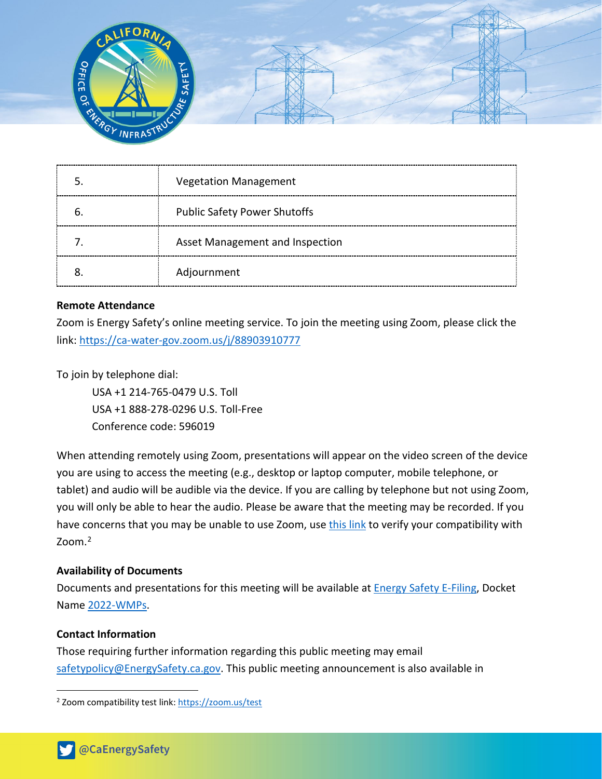

| <b>Vegetation Management</b>        |
|-------------------------------------|
| <b>Public Safety Power Shutoffs</b> |
| Asset Management and Inspection     |
| Adjournment                         |

#### **Remote Attendance**

Zoom is Energy Safety's online meeting service. To join the meeting using Zoom, please click the link:<https://ca-water-gov.zoom.us/j/88903910777>

To join by telephone dial:

USA +1 214-765-0479 U.S. Toll USA +1 888-278-0296 U.S. Toll-Free Conference code: 596019

When attending remotely using Zoom, presentations will appear on the video screen of the device you are using to access the meeting (e.g., desktop or laptop computer, mobile telephone, or tablet) and audio will be audible via the device. If you are calling by telephone but not using Zoom, you will only be able to hear the audio. Please be aware that the meeting may be recorded. If you have concerns that you may be unable to use Zoom, us[e this link](https://zoom.us/test) to verify your compatibility with Zoom. [2](#page-1-0)

#### **Availability of Documents**

Documents and presentations for this meeting will be available at [Energy Safety E-Filing,](https://efiling.energysafety.ca.gov/) Docket Name [2022-WMPs.](https://efiling.energysafety.ca.gov/Lists/DocketLog.aspx?docketnumber=2022-WMPs)

#### **Contact Information**

Those requiring further information regarding this public meeting may email [safetypolicy@EnergySafety.ca.gov.](mailto:safetypolicy@EnergySafety.ca.gov) This public meeting announcement is also available in

<span id="page-1-0"></span><sup>2</sup> Zoom compatibility test link:<https://zoom.us/test>